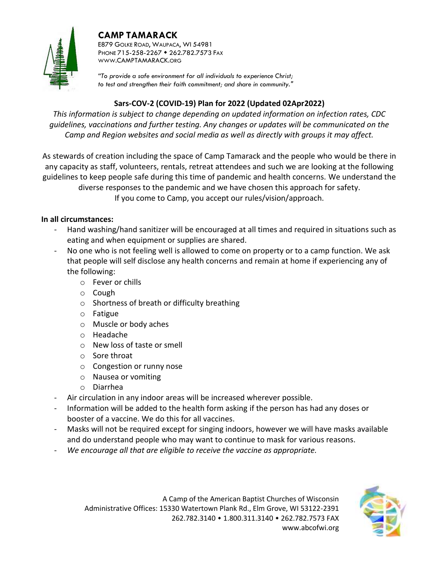# **CAMP TAMARACK**



E879 GOLKE ROAD, WAUPACA, WI 54981 PHONE 715-258-2267 • 262.782.7573 FAX WWW.CAMPTAMARACK.ORG

*"To provide a safe environment for all individuals to experience Christ; to test and strengthen their faith commitment; and share in community."*

# **Sars-COV-2 (COVID-19) Plan for 2022 (Updated 02Apr2022)**

*This information is subject to change depending on updated information on infection rates, CDC guidelines, vaccinations and further testing. Any changes or updates will be communicated on the Camp and Region websites and social media as well as directly with groups it may affect.*

As stewards of creation including the space of Camp Tamarack and the people who would be there in any capacity as staff, volunteers, rentals, retreat attendees and such we are looking at the following guidelines to keep people safe during this time of pandemic and health concerns. We understand the diverse responses to the pandemic and we have chosen this approach for safety. If you come to Camp, you accept our rules/vision/approach.

## **In all circumstances:**

- Hand washing/hand sanitizer will be encouraged at all times and required in situations such as eating and when equipment or supplies are shared.
- No one who is not feeling well is allowed to come on property or to a camp function. We ask that people will self disclose any health concerns and remain at home if experiencing any of the following:
	- o Fever or chills
	- o Cough
	- o Shortness of breath or difficulty breathing
	- o Fatigue
	- o Muscle or body aches
	- o Headache
	- o New loss of taste or smell
	- o Sore throat
	- o Congestion or runny nose
	- o Nausea or vomiting
	- o Diarrhea
- Air circulation in any indoor areas will be increased wherever possible.
- Information will be added to the health form asking if the person has had any doses or booster of a vaccine. We do this for all vaccines.
- Masks will not be required except for singing indoors, however we will have masks available and do understand people who may want to continue to mask for various reasons.
- *We encourage all that are eligible to receive the vaccine as appropriate.*

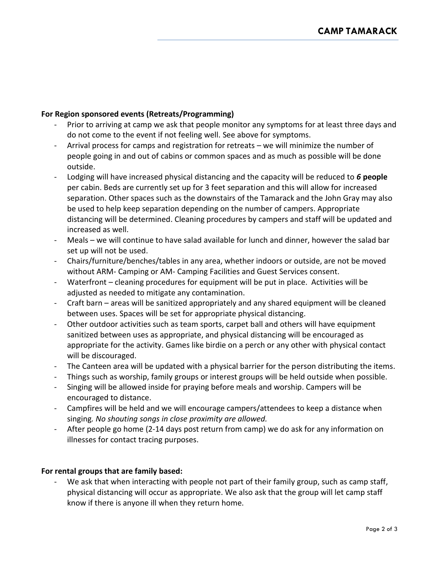## **For Region sponsored events (Retreats/Programming)**

- Prior to arriving at camp we ask that people monitor any symptoms for at least three days and do not come to the event if not feeling well. See above for symptoms.
- Arrival process for camps and registration for retreats we will minimize the number of people going in and out of cabins or common spaces and as much as possible will be done outside.
- Lodging will have increased physical distancing and the capacity will be reduced to *6* **people**  per cabin. Beds are currently set up for 3 feet separation and this will allow for increased separation. Other spaces such as the downstairs of the Tamarack and the John Gray may also be used to help keep separation depending on the number of campers. Appropriate distancing will be determined. Cleaning procedures by campers and staff will be updated and increased as well.
- Meals we will continue to have salad available for lunch and dinner, however the salad bar set up will not be used.
- Chairs/furniture/benches/tables in any area, whether indoors or outside, are not be moved without ARM- Camping or AM- Camping Facilities and Guest Services consent.
- Waterfront cleaning procedures for equipment will be put in place. Activities will be adjusted as needed to mitigate any contamination.
- Craft barn areas will be sanitized appropriately and any shared equipment will be cleaned between uses. Spaces will be set for appropriate physical distancing.
- Other outdoor activities such as team sports, carpet ball and others will have equipment sanitized between uses as appropriate, and physical distancing will be encouraged as appropriate for the activity. Games like birdie on a perch or any other with physical contact will be discouraged.
- The Canteen area will be updated with a physical barrier for the person distributing the items.
- Things such as worship, family groups or interest groups will be held outside when possible.
- Singing will be allowed inside for praying before meals and worship. Campers will be encouraged to distance.
- Campfires will be held and we will encourage campers/attendees to keep a distance when singing*. No shouting songs in close proximity are allowed.*
- After people go home (2-14 days post return from camp) we do ask for any information on illnesses for contact tracing purposes.

### **For rental groups that are family based:**

- We ask that when interacting with people not part of their family group, such as camp staff, physical distancing will occur as appropriate. We also ask that the group will let camp staff know if there is anyone ill when they return home.